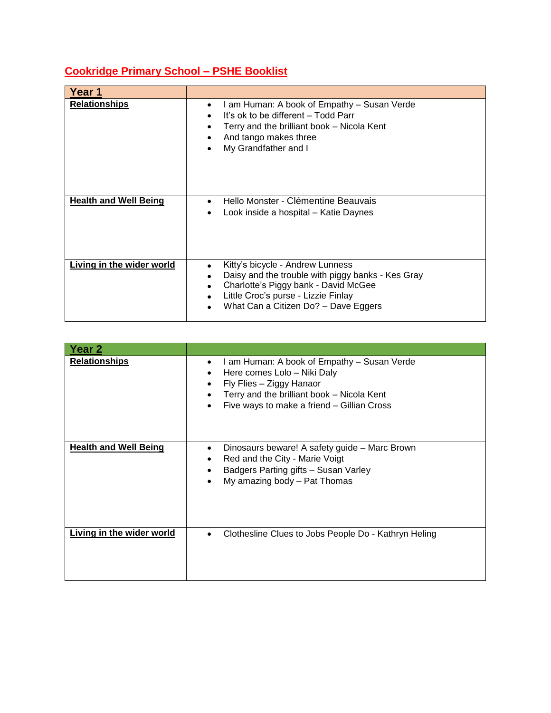## **Cookridge Primary School – PSHE Booklist**

| Year 1                       |                                                                                                                                                                                                              |
|------------------------------|--------------------------------------------------------------------------------------------------------------------------------------------------------------------------------------------------------------|
| <b>Relationships</b>         | I am Human: A book of Empathy – Susan Verde<br>٠<br>It's ok to be different – Todd Parr<br>Terry and the brilliant book – Nicola Kent<br>And tango makes three<br>My Grandfather and I                       |
| <b>Health and Well Being</b> | Hello Monster - Clémentine Beauvais<br>Look inside a hospital - Katie Daynes                                                                                                                                 |
| Living in the wider world    | Kitty's bicycle - Andrew Lunness<br>Daisy and the trouble with piggy banks - Kes Gray<br>Charlotte's Piggy bank - David McGee<br>Little Croc's purse - Lizzie Finlay<br>What Can a Citizen Do? - Dave Eggers |

| Year 2                       |                                                                                                                                                                                                              |
|------------------------------|--------------------------------------------------------------------------------------------------------------------------------------------------------------------------------------------------------------|
| <u>Relationships</u>         | I am Human: A book of Empathy - Susan Verde<br>٠<br>Here comes Lolo - Niki Daly<br>Fly Flies - Ziggy Hanaor<br>٠<br>Terry and the brilliant book - Nicola Kent<br>Five ways to make a friend - Gillian Cross |
| <b>Health and Well Being</b> | Dinosaurs beware! A safety guide – Marc Brown<br>Red and the City - Marie Voigt<br>Badgers Parting gifts - Susan Varley<br>My amazing body - Pat Thomas                                                      |
| Living in the wider world    | Clothesline Clues to Jobs People Do - Kathryn Heling<br>$\bullet$                                                                                                                                            |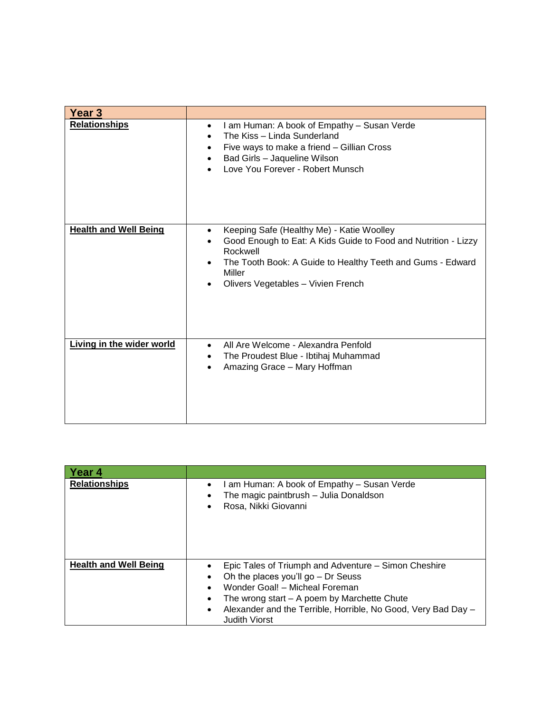| Year 3                       |                                                                                                                                                                                                                                       |
|------------------------------|---------------------------------------------------------------------------------------------------------------------------------------------------------------------------------------------------------------------------------------|
| <b>Relationships</b>         | I am Human: A book of Empathy - Susan Verde<br>The Kiss - Linda Sunderland<br>Five ways to make a friend - Gillian Cross<br>Bad Girls - Jaqueline Wilson<br>Love You Forever - Robert Munsch                                          |
| <b>Health and Well Being</b> | Keeping Safe (Healthy Me) - Katie Woolley<br>Good Enough to Eat: A Kids Guide to Food and Nutrition - Lizzy<br>Rockwell<br>The Tooth Book: A Guide to Healthy Teeth and Gums - Edward<br>Miller<br>Olivers Vegetables - Vivien French |
| Living in the wider world    | All Are Welcome - Alexandra Penfold<br>The Proudest Blue - Ibtihaj Muhammad<br>Amazing Grace - Mary Hoffman                                                                                                                           |

| <b>Year 4</b>                |                                                                                                                                                                                                                                                                                       |
|------------------------------|---------------------------------------------------------------------------------------------------------------------------------------------------------------------------------------------------------------------------------------------------------------------------------------|
| <b>Relationships</b>         | am Human: A book of Empathy – Susan Verde<br>The magic paintbrush - Julia Donaldson<br>Rosa, Nikki Giovanni                                                                                                                                                                           |
| <b>Health and Well Being</b> | Epic Tales of Triumph and Adventure – Simon Cheshire<br>Oh the places you'll go $-$ Dr Seuss<br>Wonder Goal! - Micheal Foreman<br>The wrong start $-$ A poem by Marchette Chute<br>Alexander and the Terrible, Horrible, No Good, Very Bad Day -<br>$\bullet$<br><b>Judith Viorst</b> |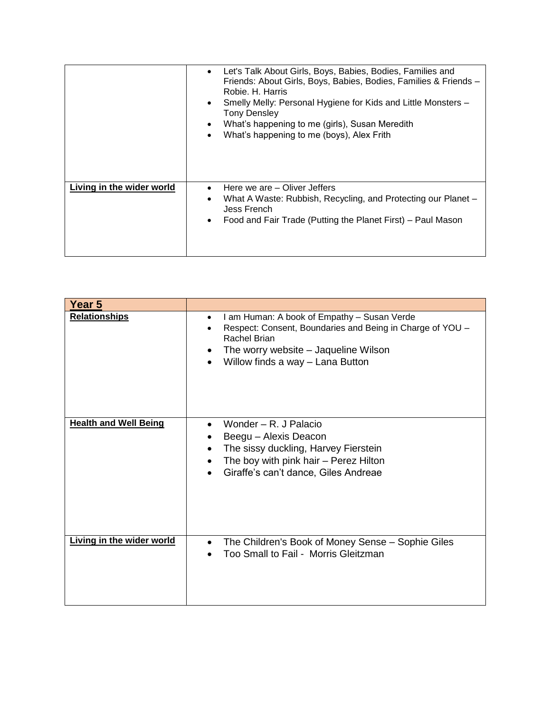|                           | Let's Talk About Girls, Boys, Babies, Bodies, Families and<br>$\bullet$<br>Friends: About Girls, Boys, Babies, Bodies, Families & Friends -<br>Robie, H. Harris<br>Smelly Melly: Personal Hygiene for Kids and Little Monsters -<br>$\bullet$<br><b>Tony Densley</b><br>What's happening to me (girls), Susan Meredith<br>$\bullet$<br>What's happening to me (boys), Alex Frith<br>$\bullet$ |
|---------------------------|-----------------------------------------------------------------------------------------------------------------------------------------------------------------------------------------------------------------------------------------------------------------------------------------------------------------------------------------------------------------------------------------------|
| Living in the wider world | Here we are – Oliver Jeffers<br>What A Waste: Rubbish, Recycling, and Protecting our Planet -<br>$\bullet$<br>Jess French<br>Food and Fair Trade (Putting the Planet First) – Paul Mason<br>$\bullet$                                                                                                                                                                                         |

| Year 5                       |                                                                                                                                                                                                                   |
|------------------------------|-------------------------------------------------------------------------------------------------------------------------------------------------------------------------------------------------------------------|
| <b>Relationships</b>         | I am Human: A book of Empathy - Susan Verde<br>$\bullet$<br>Respect: Consent, Boundaries and Being in Charge of YOU -<br>Rachel Brian<br>The worry website – Jaqueline Wilson<br>Willow finds a way - Lana Button |
| <b>Health and Well Being</b> | Wonder - R. J Palacio<br>Beegu - Alexis Deacon<br>The sissy duckling, Harvey Fierstein<br>The boy with pink hair - Perez Hilton<br>Giraffe's can't dance, Giles Andreae                                           |
| Living in the wider world    | The Children's Book of Money Sense - Sophie Giles<br>Too Small to Fail - Morris Gleitzman                                                                                                                         |